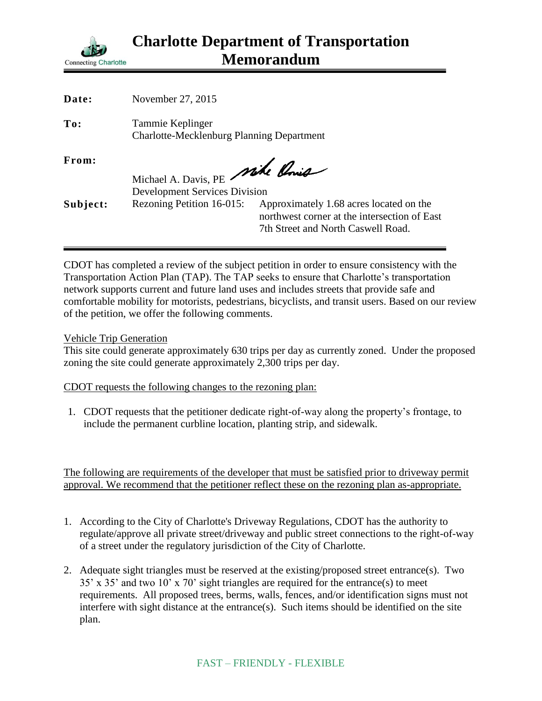

| Date:    | November 27, 2015                                                       |                                                                                                                               |
|----------|-------------------------------------------------------------------------|-------------------------------------------------------------------------------------------------------------------------------|
| To:      | Tammie Keplinger<br><b>Charlotte-Mecklenburg Planning Department</b>    |                                                                                                                               |
| From:    | Michael A. Davis, PE Mike Chris<br><b>Development Services Division</b> |                                                                                                                               |
| Subject: | Rezoning Petition 16-015:                                               | Approximately 1.68 acres located on the<br>northwest corner at the intersection of East<br>7th Street and North Caswell Road. |

CDOT has completed a review of the subject petition in order to ensure consistency with the Transportation Action Plan (TAP). The TAP seeks to ensure that Charlotte's transportation network supports current and future land uses and includes streets that provide safe and comfortable mobility for motorists, pedestrians, bicyclists, and transit users. Based on our review of the petition, we offer the following comments.

Vehicle Trip Generation

This site could generate approximately 630 trips per day as currently zoned. Under the proposed zoning the site could generate approximately 2,300 trips per day.

CDOT requests the following changes to the rezoning plan:

1. CDOT requests that the petitioner dedicate right-of-way along the property's frontage, to include the permanent curbline location, planting strip, and sidewalk.

The following are requirements of the developer that must be satisfied prior to driveway permit approval. We recommend that the petitioner reflect these on the rezoning plan as-appropriate.

- 1. According to the City of Charlotte's Driveway Regulations, CDOT has the authority to regulate/approve all private street/driveway and public street connections to the right-of-way of a street under the regulatory jurisdiction of the City of Charlotte.
- 2. Adequate sight triangles must be reserved at the existing/proposed street entrance(s). Two 35' x 35' and two 10' x 70' sight triangles are required for the entrance(s) to meet requirements. All proposed trees, berms, walls, fences, and/or identification signs must not interfere with sight distance at the entrance(s). Such items should be identified on the site plan.